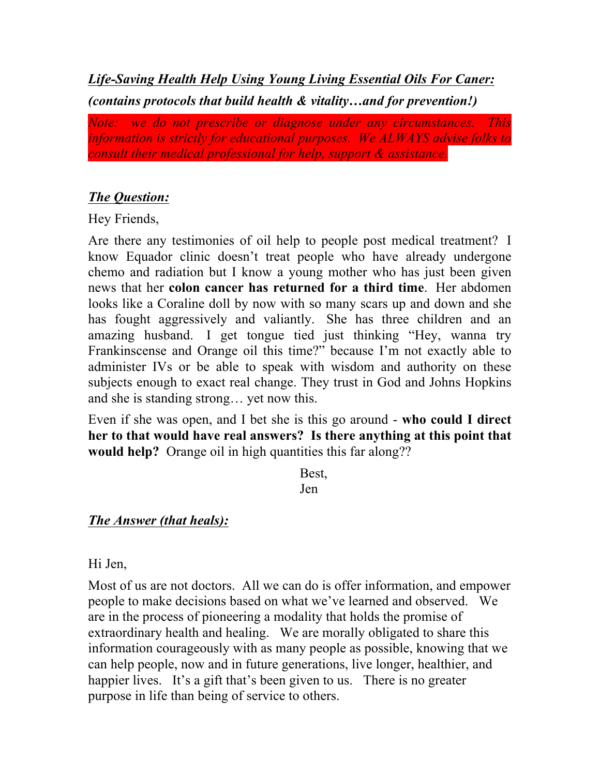*Life-Saving Health Help Using Young Living Essential Oils For Caner: (contains protocols that build health & vitality…and for prevention!)*

*Note: we do not prescribe or diagnose under any circumstances. This information is strictly for educational purposes. We ALWAYS advise folks to consult their medical professional for help, support & assistance.*

## *The Question:*

Hey Friends,

Are there any testimonies of oil help to people post medical treatment? I know Equador clinic doesn't treat people who have already undergone chemo and radiation but I know a young mother who has just been given news that her **colon cancer has returned for a third time**. Her abdomen looks like a Coraline doll by now with so many scars up and down and she has fought aggressively and valiantly. She has three children and an amazing husband. I get tongue tied just thinking "Hey, wanna try Frankinscense and Orange oil this time?" because I'm not exactly able to administer IVs or be able to speak with wisdom and authority on these subjects enough to exact real change. They trust in God and Johns Hopkins and she is standing strong… yet now this.

Even if she was open, and I bet she is this go around - **who could I direct her to that would have real answers? Is there anything at this point that would help?** Orange oil in high quantities this far along??

> Best, Jen

## *The Answer (that heals):*

Hi Jen,

Most of us are not doctors. All we can do is offer information, and empower people to make decisions based on what we've learned and observed. We are in the process of pioneering a modality that holds the promise of extraordinary health and healing. We are morally obligated to share this information courageously with as many people as possible, knowing that we can help people, now and in future generations, live longer, healthier, and happier lives. It's a gift that's been given to us. There is no greater purpose in life than being of service to others.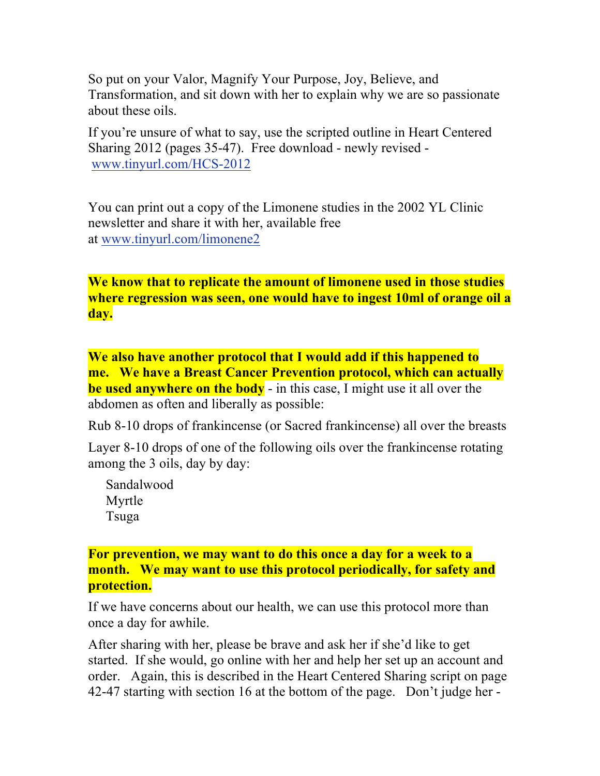So put on your Valor, Magnify Your Purpose, Joy, Believe, and Transformation, and sit down with her to explain why we are so passionate about these oils.

If you're unsure of what to say, use the scripted outline in Heart Centered Sharing 2012 (pages 35-47). Free download - newly revised www.tinyurl.com/HCS-2012

You can print out a copy of the Limonene studies in the 2002 YL Clinic newsletter and share it with her, available free at www.tinyurl.com/limonene2

**We know that to replicate the amount of limonene used in those studies where regression was seen, one would have to ingest 10ml of orange oil a day.**

**We also have another protocol that I would add if this happened to me. We have a Breast Cancer Prevention protocol, which can actually be used anywhere on the body** - in this case, I might use it all over the abdomen as often and liberally as possible:

Rub 8-10 drops of frankincense (or Sacred frankincense) all over the breasts

Layer 8-10 drops of one of the following oils over the frankincense rotating among the 3 oils, day by day:

Sandalwood Myrtle Tsuga

**For prevention, we may want to do this once a day for a week to a month. We may want to use this protocol periodically, for safety and protection.**

If we have concerns about our health, we can use this protocol more than once a day for awhile.

After sharing with her, please be brave and ask her if she'd like to get started. If she would, go online with her and help her set up an account and order. Again, this is described in the Heart Centered Sharing script on page 42-47 starting with section 16 at the bottom of the page. Don't judge her -